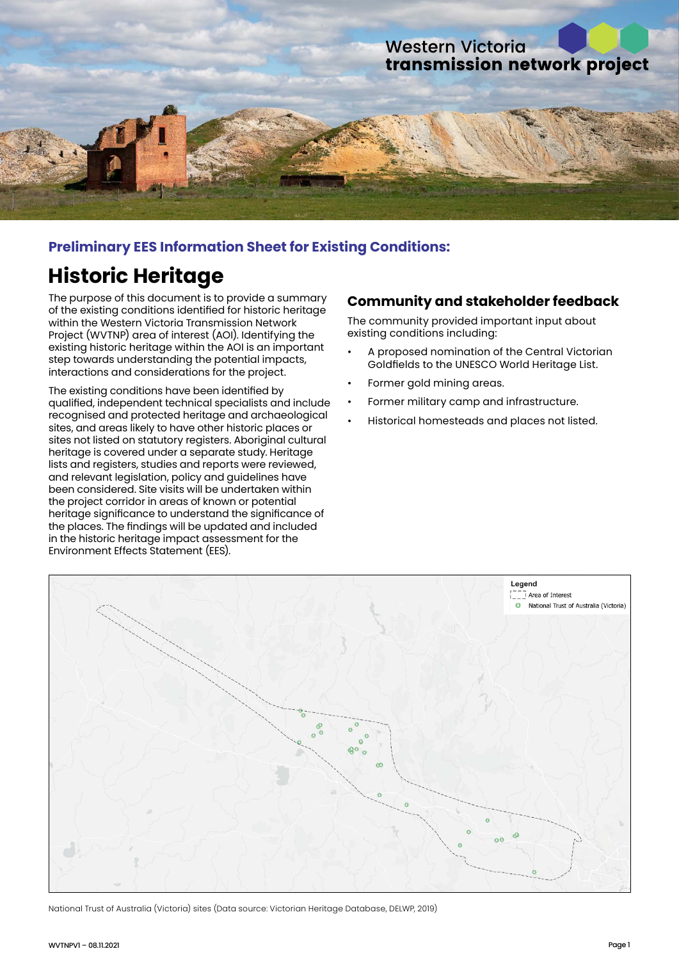

## **Preliminary EES Information Sheet for Existing Conditions:**

# **Historic Heritage**

The purpose of this document is to provide a summary of the existing conditions identified for historic heritage within the Western Victoria Transmission Network Project (WVTNP) area of interest (AOI). Identifying the existing historic heritage within the AOI is an important step towards understanding the potential impacts, interactions and considerations for the project.

The existing conditions have been identified by qualified, independent technical specialists and include recognised and protected heritage and archaeological sites, and areas likely to have other historic places or sites not listed on statutory registers. Aboriginal cultural heritage is covered under a separate study. Heritage lists and registers, studies and reports were reviewed, and relevant legislation, policy and guidelines have been considered. Site visits will be undertaken within the project corridor in areas of known or potential heritage significance to understand the significance of the places. The findings will be updated and included in the historic heritage impact assessment for the Environment Effects Statement (EES).

#### **Community and stakeholder feedback**

The community provided important input about existing conditions including:

- A proposed nomination of the Central Victorian Goldfields to the UNESCO World Heritage List.
- Former gold mining areas.
- Former military camp and infrastructure.
- Historical homesteads and places not listed.



National Trust of Australia (Victoria) sites (Data source: Victorian Heritage Database, DELWP, 2019)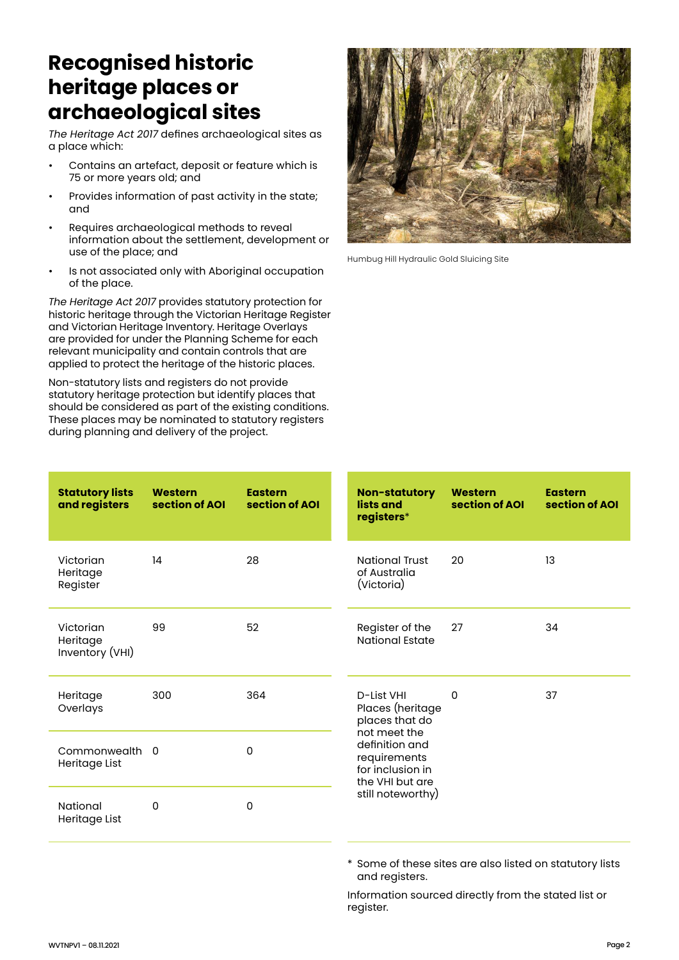# **Recognised historic heritage places or archaeological sites**

*The Heritage Act 2017* defines archaeological sites as a place which:

- Contains an artefact, deposit or feature which is 75 or more years old; and
- Provides information of past activity in the state; and
- Requires archaeological methods to reveal information about the settlement, development or use of the place; and
- Is not associated only with Aboriginal occupation of the place.

*The Heritage Act 2017* provides statutory protection for historic heritage through the Victorian Heritage Register and Victorian Heritage Inventory. Heritage Overlays are provided for under the Planning Scheme for each relevant municipality and contain controls that are applied to protect the heritage of the historic places.

Non-statutory lists and registers do not provide statutory heritage protection but identify places that should be considered as part of the existing conditions. These places may be nominated to statutory registers during planning and delivery of the project.



Humbug Hill Hydraulic Gold Sluicing Site

| <b>Statutory lists</b><br>and registers  | <b>Western</b><br>section of AOI | <b>Eastern</b><br>section of AOI |  | <b>Non-statutory</b><br>lists and<br>registers*                                                                                                                | <b>Western</b><br>section of AOI | <b>Eastern</b><br>section of AOI |
|------------------------------------------|----------------------------------|----------------------------------|--|----------------------------------------------------------------------------------------------------------------------------------------------------------------|----------------------------------|----------------------------------|
| Victorian<br>Heritage<br>Register        | 14                               | 28                               |  | <b>National Trust</b><br>of Australia<br>(Victoria)                                                                                                            | 20                               | 13                               |
| Victorian<br>Heritage<br>Inventory (VHI) | 99                               | 52                               |  | Register of the<br>National Estate                                                                                                                             | 27                               | 34                               |
| Heritage<br>Overlays                     | 300                              | 364                              |  | D-List VHI<br>Places (heritage<br>places that do<br>not meet the<br>definition and<br>requirements<br>for inclusion in<br>the VHI but are<br>still noteworthy) | 0                                | 37                               |
| Commonwealth 0<br>Heritage List          |                                  | 0                                |  |                                                                                                                                                                |                                  |                                  |
| National<br>Heritage List                | 0                                | 0                                |  |                                                                                                                                                                |                                  |                                  |

\* Some of these sites are also listed on statutory lists and registers.

Information sourced directly from the stated list or register.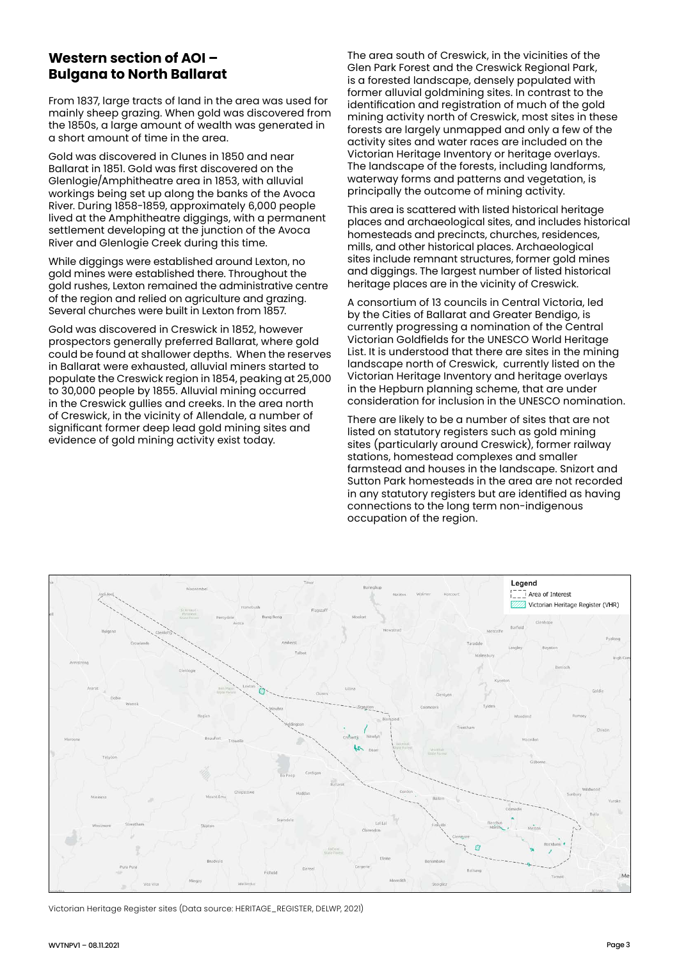### **Western section of AOI – Bulgana to North Ballarat**

From 1837, large tracts of land in the area was used for mainly sheep grazing. When gold was discovered from the 1850s, a large amount of wealth was generated in a short amount of time in the area.

Gold was discovered in Clunes in 1850 and near Ballarat in 1851. Gold was first discovered on the Glenlogie/Amphitheatre area in 1853, with alluvial workings being set up along the banks of the Avoca River. During 1858-1859, approximately 6,000 people lived at the Amphitheatre diggings, with a permanent settlement developing at the junction of the Avoca River and Glenlogie Creek during this time.

While diggings were established around Lexton, no gold mines were established there. Throughout the gold rushes, Lexton remained the administrative centre of the region and relied on agriculture and grazing. Several churches were built in Lexton from 1857.

Gold was discovered in Creswick in 1852, however prospectors generally preferred Ballarat, where gold could be found at shallower depths. When the reserves in Ballarat were exhausted, alluvial miners started to populate the Creswick region in 1854, peaking at 25,000 to 30,000 people by 1855. Alluvial mining occurred in the Creswick gullies and creeks. In the area north of Creswick, in the vicinity of Allendale, a number of significant former deep lead gold mining sites and evidence of gold mining activity exist today.

The area south of Creswick, in the vicinities of the Glen Park Forest and the Creswick Regional Park, is a forested landscape, densely populated with former alluvial goldmining sites. In contrast to the identification and registration of much of the gold mining activity north of Creswick, most sites in these forests are largely unmapped and only a few of the activity sites and water races are included on the Victorian Heritage Inventory or heritage overlays. The landscape of the forests, including landforms, waterway forms and patterns and vegetation, is principally the outcome of mining activity.

This area is scattered with listed historical heritage places and archaeological sites, and includes historical homesteads and precincts, churches, residences, mills, and other historical places. Archaeological sites include remnant structures, former gold mines and diggings. The largest number of listed historical heritage places are in the vicinity of Creswick.

A consortium of 13 councils in Central Victoria, led by the Cities of Ballarat and Greater Bendigo, is currently progressing a nomination of the Central Victorian Goldfields for the UNESCO World Heritage List. It is understood that there are sites in the mining landscape north of Creswick, currently listed on the Victorian Heritage Inventory and heritage overlays in the Hepburn planning scheme, that are under consideration for inclusion in the UNESCO nomination.

There are likely to be a number of sites that are not listed on statutory registers such as gold mining sites (particularly around Creswick), former railway stations, homestead complexes and smaller farmstead and houses in the landscape. Snizort and Sutton Park homesteads in the area are not recorded in any statutory registers but are identified as having connections to the long term non-indigenous occupation of the region.



Victorian Heritage Register sites (Data source: HERITAGE\_REGISTER, DELWP, 2021)